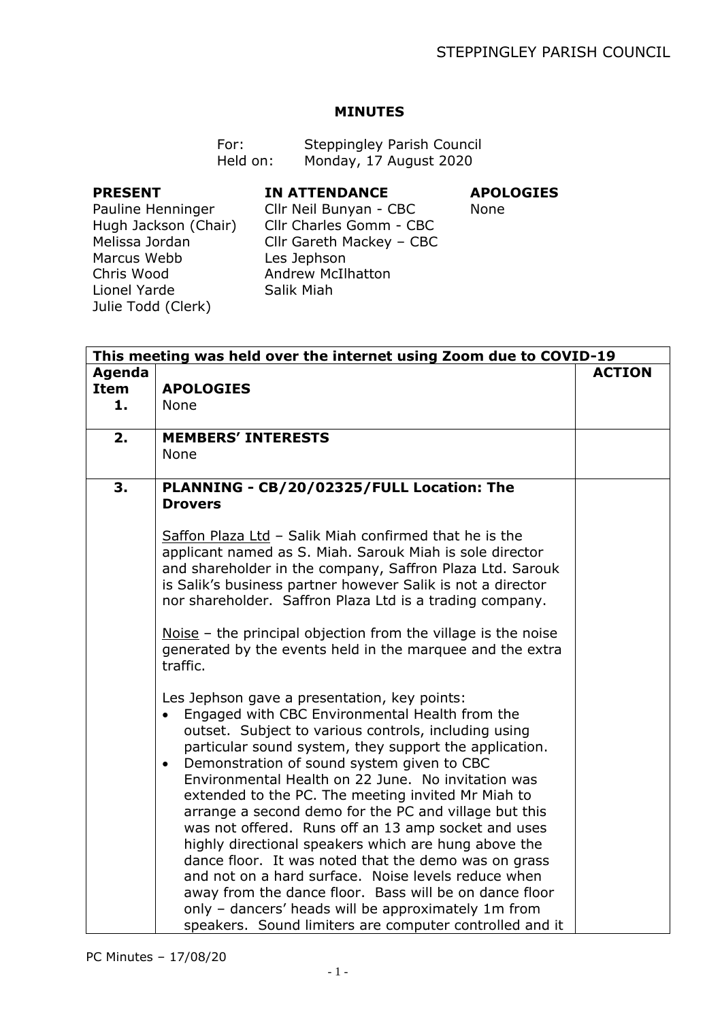## **MINUTES**

| For:     | <b>Steppingley Parish Council</b> |
|----------|-----------------------------------|
| Held on: | Monday, 17 August 2020            |

## **PRESENT**

## **IN ATTENDANCE**

# **APOLOGIES**

None

Pauline Henninger Hugh Jackson (Chair) Melissa Jordan Marcus Webb Chris Wood Lionel Yarde Julie Todd (Clerk)

Cllr Neil Bunyan - CBC Cllr Charles Gomm - CBC Cllr Gareth Mackey – CBC Les Jephson Andrew McIlhatton Salik Miah

| This meeting was held over the internet using Zoom due to COVID-19 |                                                                                                                                                                                                                                                                                                                                                                                                                                                                                                                                                                                                                                                                                                                                                                                                                                                            |  |  |  |
|--------------------------------------------------------------------|------------------------------------------------------------------------------------------------------------------------------------------------------------------------------------------------------------------------------------------------------------------------------------------------------------------------------------------------------------------------------------------------------------------------------------------------------------------------------------------------------------------------------------------------------------------------------------------------------------------------------------------------------------------------------------------------------------------------------------------------------------------------------------------------------------------------------------------------------------|--|--|--|
| Agenda<br><b>Item</b>                                              | <b>APOLOGIES</b>                                                                                                                                                                                                                                                                                                                                                                                                                                                                                                                                                                                                                                                                                                                                                                                                                                           |  |  |  |
| 1.                                                                 | None                                                                                                                                                                                                                                                                                                                                                                                                                                                                                                                                                                                                                                                                                                                                                                                                                                                       |  |  |  |
| 2.                                                                 | <b>MEMBERS' INTERESTS</b><br>None                                                                                                                                                                                                                                                                                                                                                                                                                                                                                                                                                                                                                                                                                                                                                                                                                          |  |  |  |
| 3.                                                                 | PLANNING - CB/20/02325/FULL Location: The<br><b>Drovers</b>                                                                                                                                                                                                                                                                                                                                                                                                                                                                                                                                                                                                                                                                                                                                                                                                |  |  |  |
|                                                                    | Saffon Plaza Ltd - Salik Miah confirmed that he is the<br>applicant named as S. Miah. Sarouk Miah is sole director<br>and shareholder in the company, Saffron Plaza Ltd. Sarouk<br>is Salik's business partner however Salik is not a director<br>nor shareholder. Saffron Plaza Ltd is a trading company.                                                                                                                                                                                                                                                                                                                                                                                                                                                                                                                                                 |  |  |  |
|                                                                    | Noise – the principal objection from the village is the noise<br>generated by the events held in the marquee and the extra<br>traffic.                                                                                                                                                                                                                                                                                                                                                                                                                                                                                                                                                                                                                                                                                                                     |  |  |  |
|                                                                    | Les Jephson gave a presentation, key points:<br>Engaged with CBC Environmental Health from the<br>outset. Subject to various controls, including using<br>particular sound system, they support the application.<br>Demonstration of sound system given to CBC<br>$\bullet$<br>Environmental Health on 22 June. No invitation was<br>extended to the PC. The meeting invited Mr Miah to<br>arrange a second demo for the PC and village but this<br>was not offered. Runs off an 13 amp socket and uses<br>highly directional speakers which are hung above the<br>dance floor. It was noted that the demo was on grass<br>and not on a hard surface. Noise levels reduce when<br>away from the dance floor. Bass will be on dance floor<br>only - dancers' heads will be approximately 1m from<br>speakers. Sound limiters are computer controlled and it |  |  |  |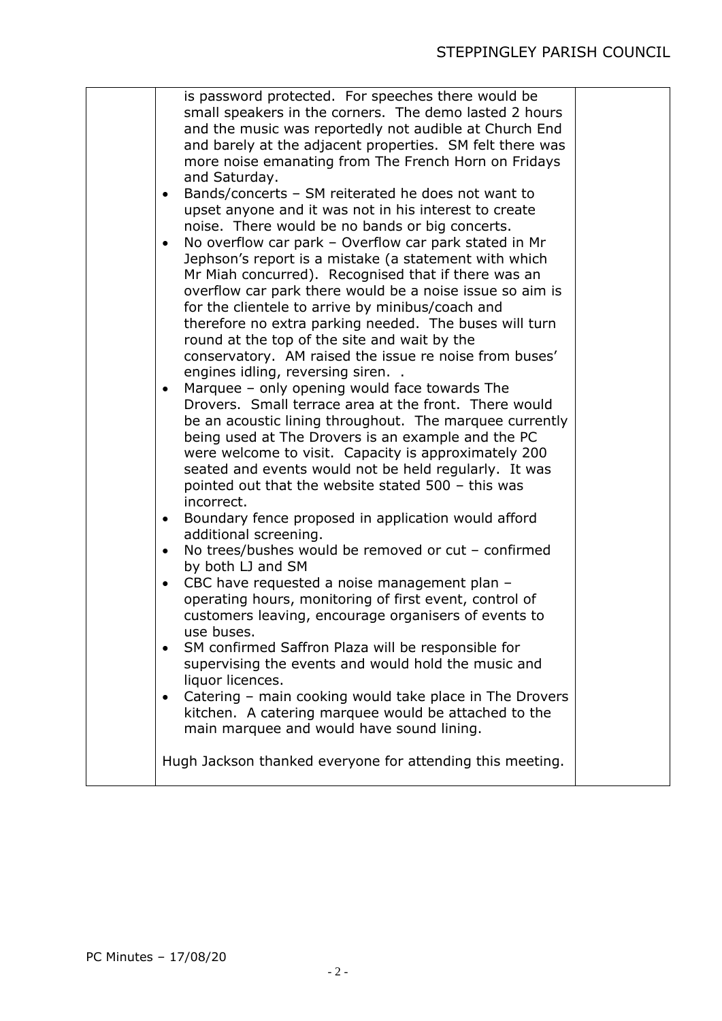# STEPPINGLEY PARISH COUNCIL

|  | is password protected. For speeches there would be<br>small speakers in the corners. The demo lasted 2 hours |  |
|--|--------------------------------------------------------------------------------------------------------------|--|
|  | and the music was reportedly not audible at Church End                                                       |  |
|  | and barely at the adjacent properties. SM felt there was                                                     |  |
|  | more noise emanating from The French Horn on Fridays                                                         |  |
|  | and Saturday.                                                                                                |  |
|  | Bands/concerts - SM reiterated he does not want to<br>٠                                                      |  |
|  | upset anyone and it was not in his interest to create                                                        |  |
|  | noise. There would be no bands or big concerts.                                                              |  |
|  | No overflow car park - Overflow car park stated in Mr<br>$\bullet$                                           |  |
|  | Jephson's report is a mistake (a statement with which                                                        |  |
|  | Mr Miah concurred). Recognised that if there was an                                                          |  |
|  | overflow car park there would be a noise issue so aim is                                                     |  |
|  | for the clientele to arrive by minibus/coach and<br>therefore no extra parking needed. The buses will turn   |  |
|  | round at the top of the site and wait by the                                                                 |  |
|  | conservatory. AM raised the issue re noise from buses'                                                       |  |
|  | engines idling, reversing siren                                                                              |  |
|  | Marquee - only opening would face towards The<br>$\bullet$                                                   |  |
|  | Drovers. Small terrace area at the front. There would                                                        |  |
|  | be an acoustic lining throughout. The marquee currently                                                      |  |
|  | being used at The Drovers is an example and the PC                                                           |  |
|  | were welcome to visit. Capacity is approximately 200                                                         |  |
|  | seated and events would not be held regularly. It was                                                        |  |
|  | pointed out that the website stated 500 - this was<br>incorrect.                                             |  |
|  | Boundary fence proposed in application would afford<br>$\bullet$                                             |  |
|  | additional screening.                                                                                        |  |
|  | No trees/bushes would be removed or cut - confirmed<br>$\bullet$                                             |  |
|  | by both LJ and SM                                                                                            |  |
|  | CBC have requested a noise management plan -<br>$\bullet$                                                    |  |
|  | operating hours, monitoring of first event, control of                                                       |  |
|  | customers leaving, encourage organisers of events to                                                         |  |
|  | use buses.<br>SM confirmed Saffron Plaza will be responsible for<br>$\bullet$                                |  |
|  | supervising the events and would hold the music and                                                          |  |
|  | liquor licences.                                                                                             |  |
|  | Catering - main cooking would take place in The Drovers<br>$\bullet$                                         |  |
|  | kitchen. A catering marquee would be attached to the                                                         |  |
|  | main marquee and would have sound lining.                                                                    |  |
|  | Hugh Jackson thanked everyone for attending this meeting.                                                    |  |
|  |                                                                                                              |  |
|  |                                                                                                              |  |